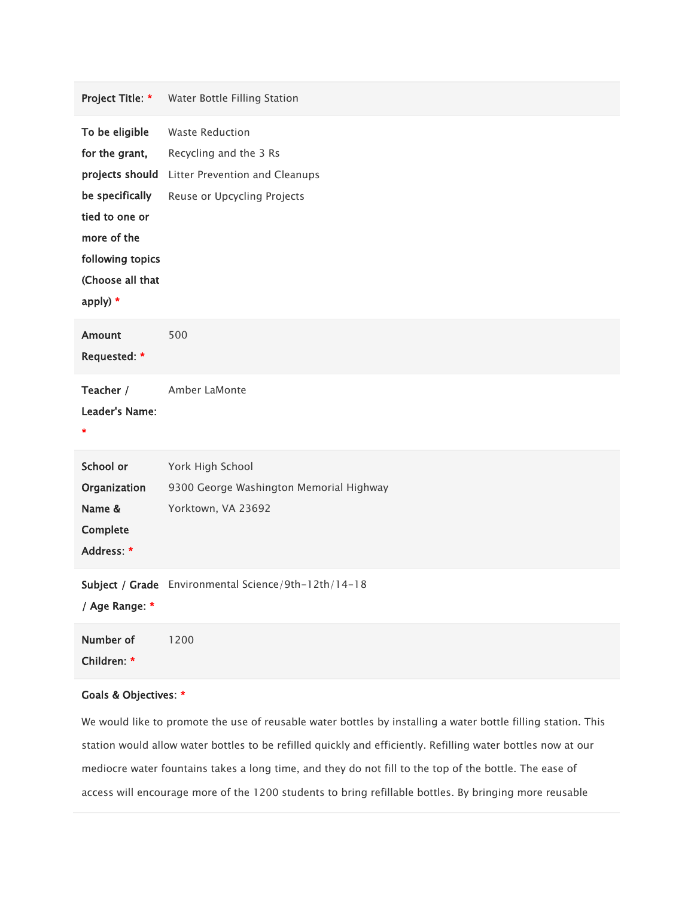| Project Title: *                                                                                                                                            | Water Bottle Filling Station                                                                                      |
|-------------------------------------------------------------------------------------------------------------------------------------------------------------|-------------------------------------------------------------------------------------------------------------------|
| To be eligible<br>for the grant,<br>projects should<br>be specifically<br>tied to one or<br>more of the<br>following topics<br>(Choose all that<br>apply) * | <b>Waste Reduction</b><br>Recycling and the 3 Rs<br>Litter Prevention and Cleanups<br>Reuse or Upcycling Projects |
| <b>Amount</b><br>Requested: *                                                                                                                               | 500                                                                                                               |
| Teacher /<br>Leader's Name:<br>$\star$                                                                                                                      | Amber LaMonte                                                                                                     |
| School or<br>Organization<br>Name &<br>Complete<br>Address: *                                                                                               | York High School<br>9300 George Washington Memorial Highway<br>Yorktown, VA 23692                                 |
| / Age Range: *                                                                                                                                              | Subject / Grade Environmental Science/9th-12th/14-18                                                              |
| Number of<br>Children: *                                                                                                                                    | 1200                                                                                                              |

## Goals & Objectives: \*

We would like to promote the use of reusable water bottles by installing a water bottle filling station. This station would allow water bottles to be refilled quickly and efficiently. Refilling water bottles now at our mediocre water fountains takes a long time, and they do not fill to the top of the bottle. The ease of access will encourage more of the 1200 students to bring refillable bottles. By bringing more reusable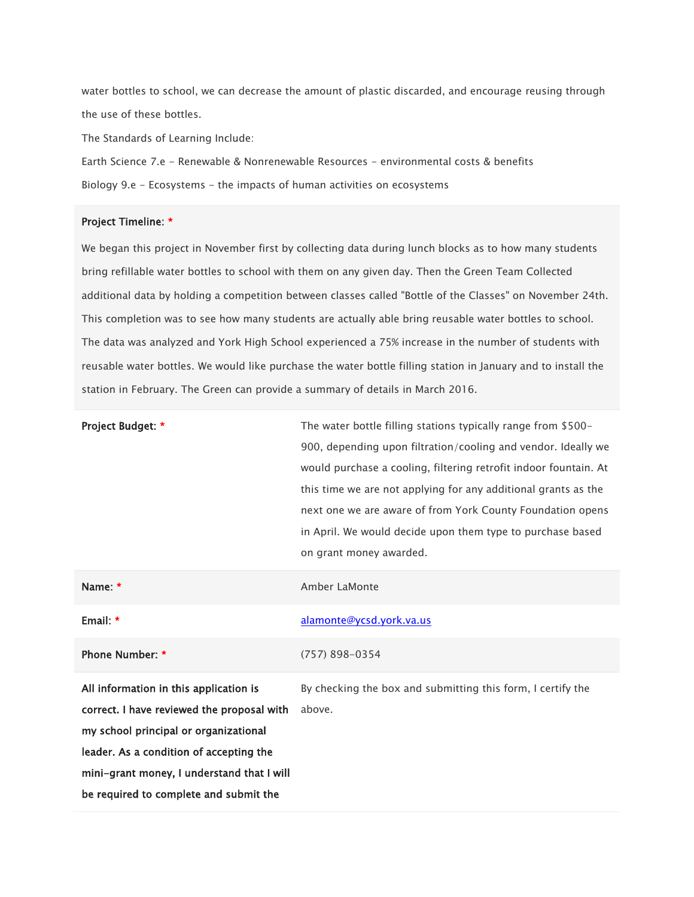water bottles to school, we can decrease the amount of plastic discarded, and encourage reusing through the use of these bottles.

The Standards of Learning Include:

Earth Science 7.e - Renewable & Nonrenewable Resources - environmental costs & benefits Biology 9.e - Ecosystems - the impacts of human activities on ecosystems

## Project Timeline: \*

We began this project in November first by collecting data during lunch blocks as to how many students bring refillable water bottles to school with them on any given day. Then the Green Team Collected additional data by holding a competition between classes called "Bottle of the Classes" on November 24th. This completion was to see how many students are actually able bring reusable water bottles to school. The data was analyzed and York High School experienced a 75% increase in the number of students with reusable water bottles. We would like purchase the water bottle filling station in January and to install the station in February. The Green can provide a summary of details in March 2016.

| Project Budget: * | The water bottle filling stations typically range from \$500-    |
|-------------------|------------------------------------------------------------------|
|                   | 900, depending upon filtration/cooling and vendor. Ideally we    |
|                   | would purchase a cooling, filtering retrofit indoor fountain. At |
|                   | this time we are not applying for any additional grants as the   |
|                   | next one we are aware of from York County Foundation opens       |
|                   | in April. We would decide upon them type to purchase based       |
|                   | on grant money awarded.                                          |
| Name: *           | Amber LaMonte                                                    |

| Email: *                              | alamonte@ycsd.york.va.us                                   |
|---------------------------------------|------------------------------------------------------------|
| <b>Phone Number: *</b>                | $(757)$ 898-0354                                           |
| All information in this annisotion is | By chacking the how and submitting this form I cortify the |

All information in this application is correct. I have reviewed the proposal with above.my school principal or organizational leader. As a condition of accepting the mini-grant money, I understand that I will be required to complete and submit the

By checking the box and submitting this form, I certify the